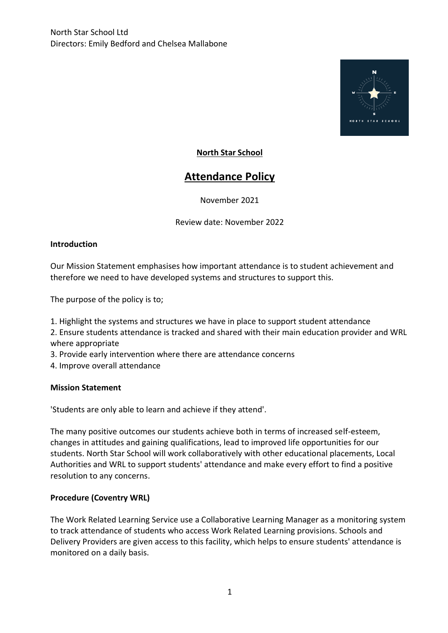

## **North Star School**

# **Attendance Policy**

November 2021

Review date: November 2022

#### **Introduction**

Our Mission Statement emphasises how important attendance is to student achievement and therefore we need to have developed systems and structures to support this.

The purpose of the policy is to;

1. Highlight the systems and structures we have in place to support student attendance

2. Ensure students attendance is tracked and shared with their main education provider and WRL where appropriate

3. Provide early intervention where there are attendance concerns

4. Improve overall attendance

#### **Mission Statement**

'Students are only able to learn and achieve if they attend'.

The many positive outcomes our students achieve both in terms of increased self-esteem, changes in attitudes and gaining qualifications, lead to improved life opportunities for our students. North Star School will work collaboratively with other educational placements, Local Authorities and WRL to support students' attendance and make every effort to find a positive resolution to any concerns.

### **Procedure (Coventry WRL)**

The Work Related Learning Service use a Collaborative Learning Manager as a monitoring system to track attendance of students who access Work Related Learning provisions. Schools and Delivery Providers are given access to this facility, which helps to ensure students' attendance is monitored on a daily basis.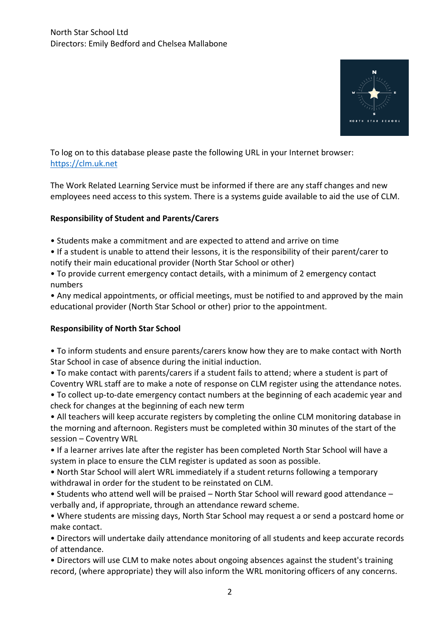

To log on to this database please paste the following URL in your Internet browser: [https://clm.uk.net](https://clm.uk.net/)

The Work Related Learning Service must be informed if there are any staff changes and new employees need access to this system. There is a systems guide available to aid the use of CLM.

### **Responsibility of Student and Parents/Carers**

- Students make a commitment and are expected to attend and arrive on time
- If a student is unable to attend their lessons, it is the responsibility of their parent/carer to notify their main educational provider (North Star School or other)
- To provide current emergency contact details, with a minimum of 2 emergency contact numbers
- Any medical appointments, or official meetings, must be notified to and approved by the main educational provider (North Star School or other) prior to the appointment.

### **Responsibility of North Star School**

- To inform students and ensure parents/carers know how they are to make contact with North Star School in case of absence during the initial induction.
- To make contact with parents/carers if a student fails to attend; where a student is part of Coventry WRL staff are to make a note of response on CLM register using the attendance notes. • To collect up-to-date emergency contact numbers at the beginning of each academic year and
- check for changes at the beginning of each new term
- All teachers will keep accurate registers by completing the online CLM monitoring database in the morning and afternoon. Registers must be completed within 30 minutes of the start of the session – Coventry WRL
- If a learner arrives late after the register has been completed North Star School will have a system in place to ensure the CLM register is updated as soon as possible.
- North Star School will alert WRL immediately if a student returns following a temporary withdrawal in order for the student to be reinstated on CLM.
- Students who attend well will be praised North Star School will reward good attendance verbally and, if appropriate, through an attendance reward scheme.
- Where students are missing days, North Star School may request a or send a postcard home or make contact.
- Directors will undertake daily attendance monitoring of all students and keep accurate records of attendance.
- Directors will use CLM to make notes about ongoing absences against the student's training record, (where appropriate) they will also inform the WRL monitoring officers of any concerns.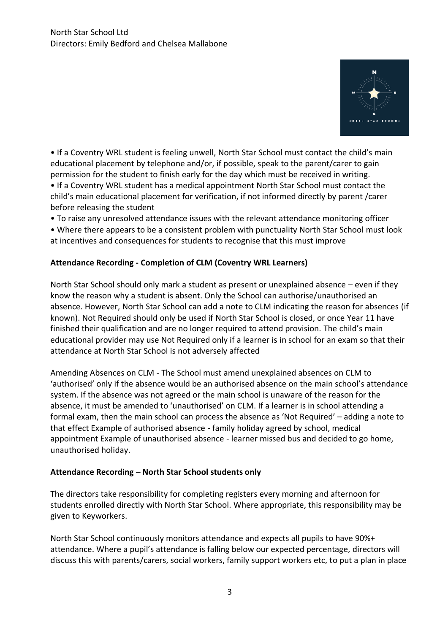

• If a Coventry WRL student is feeling unwell, North Star School must contact the child's main educational placement by telephone and/or, if possible, speak to the parent/carer to gain permission for the student to finish early for the day which must be received in writing. • If a Coventry WRL student has a medical appointment North Star School must contact the child's main educational placement for verification, if not informed directly by parent /carer before releasing the student

• To raise any unresolved attendance issues with the relevant attendance monitoring officer

• Where there appears to be a consistent problem with punctuality North Star School must look at incentives and consequences for students to recognise that this must improve

### **Attendance Recording - Completion of CLM (Coventry WRL Learners)**

North Star School should only mark a student as present or unexplained absence – even if they know the reason why a student is absent. Only the School can authorise/unauthorised an absence. However, North Star School can add a note to CLM indicating the reason for absences (if known). Not Required should only be used if North Star School is closed, or once Year 11 have finished their qualification and are no longer required to attend provision. The child's main educational provider may use Not Required only if a learner is in school for an exam so that their attendance at North Star School is not adversely affected

Amending Absences on CLM - The School must amend unexplained absences on CLM to 'authorised' only if the absence would be an authorised absence on the main school's attendance system. If the absence was not agreed or the main school is unaware of the reason for the absence, it must be amended to 'unauthorised' on CLM. If a learner is in school attending a formal exam, then the main school can process the absence as 'Not Required' – adding a note to that effect Example of authorised absence - family holiday agreed by school, medical appointment Example of unauthorised absence - learner missed bus and decided to go home, unauthorised holiday.

### **Attendance Recording – North Star School students only**

The directors take responsibility for completing registers every morning and afternoon for students enrolled directly with North Star School. Where appropriate, this responsibility may be given to Keyworkers.

North Star School continuously monitors attendance and expects all pupils to have 90%+ attendance. Where a pupil's attendance is falling below our expected percentage, directors will discuss this with parents/carers, social workers, family support workers etc, to put a plan in place